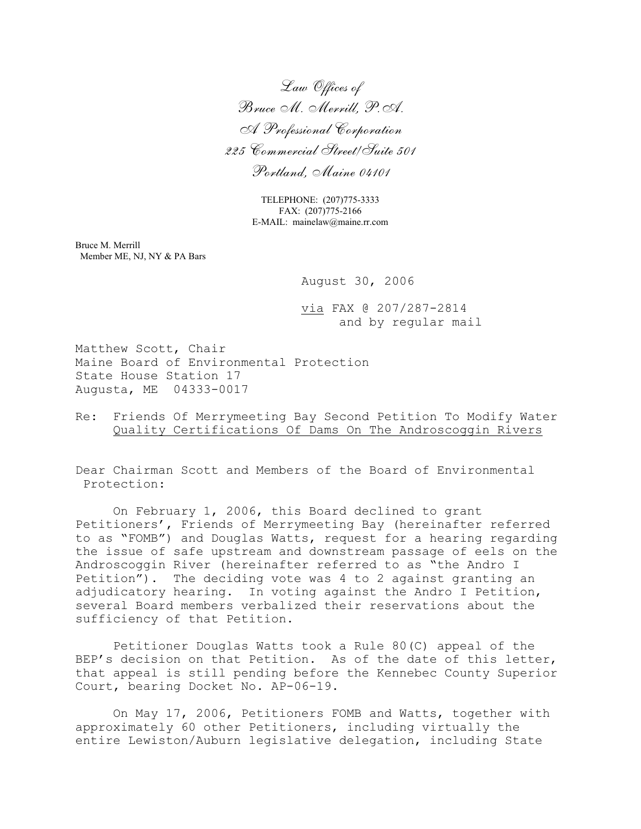*Law Offices of Bruce M. Merrill, P.A. A Professional Corporation 225 Commercial Street/Suite 501 Portland, Maine 04101*

> TELEPHONE: (207)775-3333 FAX: (207)775-2166 E-MAIL: mainelaw@maine.rr.com

Bruce M. Merrill Member ME, NJ, NY & PA Bars

August 30, 2006

via FAX @ 207/287-2814 and by regular mail

Matthew Scott, Chair Maine Board of Environmental Protection State House Station 17 Augusta, ME 04333-0017

Re: Friends Of Merrymeeting Bay Second Petition To Modify Water Quality Certifications Of Dams On The Androscoggin Rivers

Dear Chairman Scott and Members of the Board of Environmental Protection:

On February 1, 2006, this Board declined to grant Petitioners', Friends of Merrymeeting Bay (hereinafter referred to as "FOMB") and Douglas Watts, request for a hearing regarding the issue of safe upstream and downstream passage of eels on the Androscoggin River (hereinafter referred to as "the Andro I Petition"). The deciding vote was 4 to 2 against granting an adjudicatory hearing. In voting against the Andro I Petition, several Board members verbalized their reservations about the sufficiency of that Petition.

Petitioner Douglas Watts took a Rule 80(C) appeal of the BEP's decision on that Petition. As of the date of this letter, that appeal is still pending before the Kennebec County Superior Court, bearing Docket No. AP-06-19.

On May 17, 2006, Petitioners FOMB and Watts, together with approximately 60 other Petitioners, including virtually the entire Lewiston/Auburn legislative delegation, including State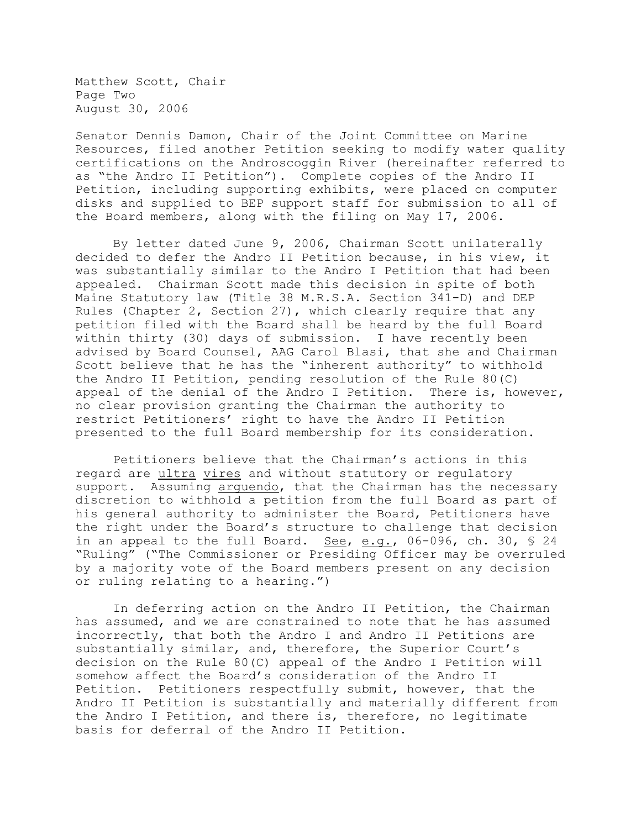Matthew Scott, Chair Page Two August 30, 2006

Senator Dennis Damon, Chair of the Joint Committee on Marine Resources, filed another Petition seeking to modify water quality certifications on the Androscoggin River (hereinafter referred to as "the Andro II Petition"). Complete copies of the Andro II Petition, including supporting exhibits, were placed on computer disks and supplied to BEP support staff for submission to all of the Board members, along with the filing on May 17, 2006.

By letter dated June 9, 2006, Chairman Scott unilaterally decided to defer the Andro II Petition because, in his view, it was substantially similar to the Andro I Petition that had been appealed. Chairman Scott made this decision in spite of both Maine Statutory law (Title 38 M.R.S.A. Section 341-D) and DEP Rules (Chapter 2, Section 27), which clearly require that any petition filed with the Board shall be heard by the full Board within thirty (30) days of submission. I have recently been advised by Board Counsel, AAG Carol Blasi, that she and Chairman Scott believe that he has the "inherent authority" to withhold the Andro II Petition, pending resolution of the Rule 80(C) appeal of the denial of the Andro I Petition. There is, however, no clear provision granting the Chairman the authority to restrict Petitioners' right to have the Andro II Petition presented to the full Board membership for its consideration.

Petitioners believe that the Chairman's actions in this regard are ultra vires and without statutory or regulatory support. Assuming arguendo, that the Chairman has the necessary discretion to withhold a petition from the full Board as part of his general authority to administer the Board, Petitioners have the right under the Board's structure to challenge that decision in an appeal to the full Board. See, e.g., 06-096, ch. 30, § 24 "Ruling" ("The Commissioner or Presiding Officer may be overruled by a majority vote of the Board members present on any decision or ruling relating to a hearing.")

In deferring action on the Andro II Petition, the Chairman has assumed, and we are constrained to note that he has assumed incorrectly, that both the Andro I and Andro II Petitions are substantially similar, and, therefore, the Superior Court's decision on the Rule 80(C) appeal of the Andro I Petition will somehow affect the Board's consideration of the Andro II Petition. Petitioners respectfully submit, however, that the Andro II Petition is substantially and materially different from the Andro I Petition, and there is, therefore, no legitimate basis for deferral of the Andro II Petition.